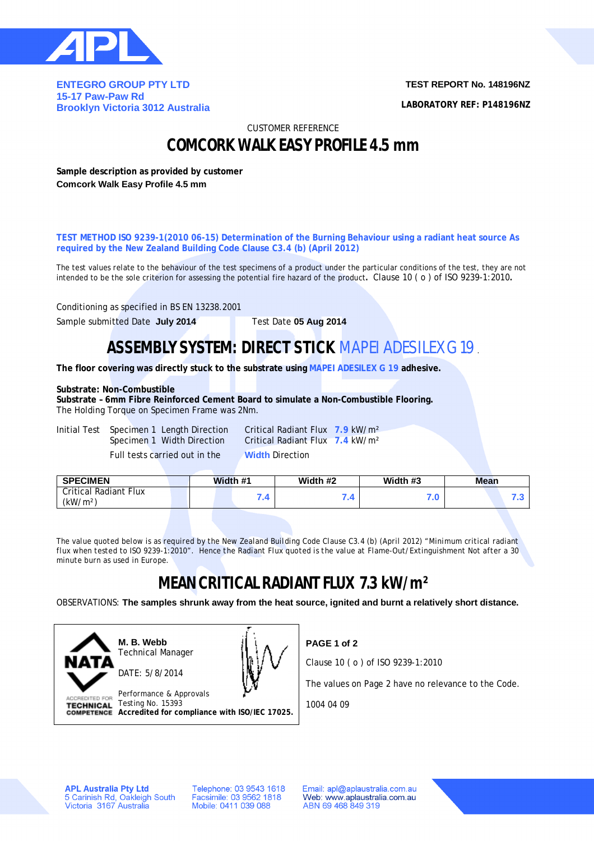

**ENTEGRO GROUP PTY LTD 15-17 Paw-Paw Rd Brooklyn Victoria 3012 Australia** **TEST REPORT No. 148196NZ**

**LABORATORY REF: P148196NZ**

CUSTOMER REFERENCE

### **COMCORK WALK EASY PROFILE 4.5 mm**

**Sample description as provided by customer Comcork Walk Easy Profile 4.5 mm**

**TEST METHOD ISO 9239-1(2010 06-15) Determination of the Burning Behaviour using a radiant heat source As required by the New Zealand Building Code Clause C3.4 (b) (April 2012)**

The test values relate to the behaviour of the test specimens of a product under the particular conditions of the test, they are not intended to be the sole criterion for assessing the potential fire hazard of the product**.** Clause 10 ( o ) of ISO 9239-1:2010**.**

Conditioning as specified in BS EN 13238.2001

Sample submitted Date **July 2014** Test Date **05 Aug 2014**

## **ASSEMBLY SYSTEM: DIRECT STICK** MAPEI ADESILEX G 19.

**The floor covering was directly stuck to the substrate using MAPEI ADESILEX G 19 adhesive.**

### **Substrate: Non-Combustible**

**Substrate – 6mm Fibre Reinforced Cement Board to simulate a Non-Combustible Flooring.** The Holding Torque on Specimen Frame was 2Nm.

Initial Test Specimen 1 Length Direction Critical Radiant Flux **7.9** kW/m² Full tests carried out in the **Width** Direction

Specimen 1 Width Direction Critical Radiant Flux **7.4** kW/m²

| <b>SPECIMEN</b>                                      | Width #1 |      | Width #2 | Width #3 | <b>Mean</b> |  |  |
|------------------------------------------------------|----------|------|----------|----------|-------------|--|--|
| <b>Critical Radiant Flux</b><br>(kW/m <sup>2</sup> ) |          | - 17 | .        | 7.U      |             |  |  |

*The value quoted below is as required by the New Zealand Building Code Clause C3.4 (b) (April 2012) "Minimum critical radiant flux when tested to ISO 9239-1:2010". Hence the Radiant Flux quoted is the value at Flame-Out/Extinguishment Not after a 30 minute burn as used in Europe.*

# **MEAN CRITICAL RADIANT FLUX 7.3 kW/m²**

OBSERVATIONS: **The samples shrunk away from the heat source, ignited and burnt a relatively short distance.**



**M. B. Webb** Technical Manager DATE: 5/8/2014



Performance & Approvals TECHNICAL Testing No. 15393 **Accredited for compliance with ISO/IEC 17025.** **PAGE 1 of 2**

Clause 10 ( o ) of ISO 9239-1:2010

The values on Page 2 have no relevance to the Code.

1004 04 09

**APL Australia Pty Ltd** 5 Carinish Rd, Oakleigh South<br>Victoria 3167 Australia Telephone: 03 9543 1618 Facsimile: 03 9562 1818 Mobile: 0411 039 088

Email: apl@aplaustralia.com.au Web: www.aplaustralia.com.au ABN 69 468 849 319